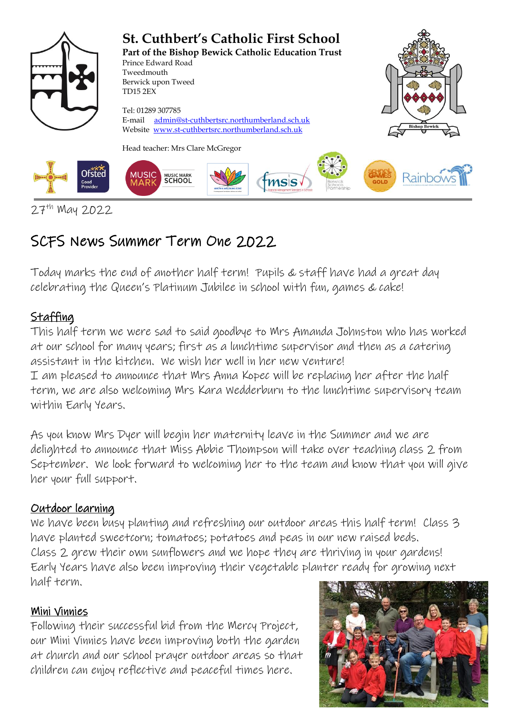

<sup>27&</sup>lt;sup>th</sup> May 2022

# SCFS News Summer Term One 2022

Today marks the end of another half term! Pupils & staff have had a great day celebrating the Queen's Platinum Jubilee in school with fun, games & cake!

## **Staffing**

This half term we were sad to said goodbye to Mrs Amanda Johnston who has worked at our school for many years; first as a lunchtime supervisor and then as a catering assistant in the kitchen. We wish her well in her new venture! I am pleased to announce that Mrs Anna Kopec will be replacing her after the half term, we are also welcoming Mrs Kara Wedderburn to the lunchtime supervisory team within Early Years.

As you know Mrs Dyer will begin her maternity leave in the Summer and we are delighted to announce that Miss Abbie Thompson will take over teaching class 2 from September. We look forward to welcoming her to the team and know that you will give her your full support.

#### Outdoor learning

We have been busy planting and refreshing our outdoor areas this half term! Class 3 have planted sweetcorn; tomatoes; potatoes and peas in our new raised beds. Class 2 grew their own sunflowers and we hope they are thriving in your gardens! Early Years have also been improving their vegetable planter ready for growing next half term.

#### Mini Vinnies

Following their successful bid from the Mercy Project, our Mini Vinnies have been improving both the garden at church and our school prayer outdoor areas so that children can enjoy reflective and peaceful times here.